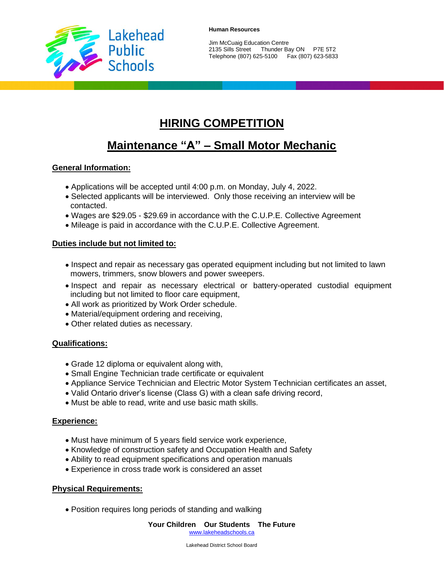

Jim McCuaig Education Centre 2135 Sills Street Thunder Bay ON P7E 5T2 Telephone (807) 625-5100 Fax (807) 623-5833

# **HIRING COMPETITION**

# **Maintenance "A" – Small Motor Mechanic**

## **General Information:**

- Applications will be accepted until 4:00 p.m. on Monday, July 4, 2022.
- Selected applicants will be interviewed. Only those receiving an interview will be contacted.
- Wages are \$29.05 \$29.69 in accordance with the C.U.P.E. Collective Agreement
- Mileage is paid in accordance with the C.U.P.E. Collective Agreement.

## **Duties include but not limited to:**

- Inspect and repair as necessary gas operated equipment including but not limited to lawn mowers, trimmers, snow blowers and power sweepers.
- Inspect and repair as necessary electrical or battery-operated custodial equipment including but not limited to floor care equipment,
- All work as prioritized by Work Order schedule.
- Material/equipment ordering and receiving,
- Other related duties as necessary.

## **Qualifications:**

- Grade 12 diploma or equivalent along with,
- Small Engine Technician trade certificate or equivalent
- Appliance Service Technician and Electric Motor System Technician certificates an asset,
- Valid Ontario driver's license (Class G) with a clean safe driving record,
- Must be able to read, write and use basic math skills.

#### **Experience:**

- Must have minimum of 5 years field service work experience,
- Knowledge of construction safety and Occupation Health and Safety
- Ability to read equipment specifications and operation manuals
- Experience in cross trade work is considered an asset

## **Physical Requirements:**

• Position requires long periods of standing and walking

**Your Children Our Students The Future**

[www.lakeheadschools.ca](http://www.lakeheadschools.ca/)